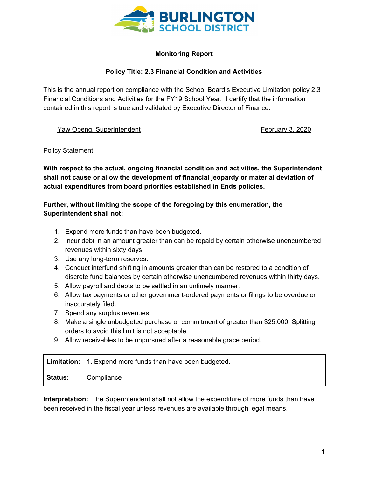

## **Monitoring Report**

## **Policy Title: 2.3 Financial Condition and Activities**

This is the annual report on compliance with the School Board's Executive Limitation policy 2.3 Financial Conditions and Activities for the FY19 School Year. I certify that the information contained in this report is true and validated by Executive Director of Finance.

Yaw Obeng, Superintendent February 3, 2020

Policy Statement:

**With respect to the actual, ongoing financial condition and activities, the Superintendent shall not cause or allow the development of financial jeopardy or material deviation of actual expenditures from board priorities established in Ends policies.**

## **Further, without limiting the scope of the foregoing by this enumeration, the Superintendent shall not:**

- 1. Expend more funds than have been budgeted.
- 2. Incur debt in an amount greater than can be repaid by certain otherwise unencumbered revenues within sixty days.
- 3. Use any long-term reserves.
- 4. Conduct interfund shifting in amounts greater than can be restored to a condition of discrete fund balances by certain otherwise unencumbered revenues within thirty days.
- 5. Allow payroll and debts to be settled in an untimely manner.
- 6. Allow tax payments or other government-ordered payments or filings to be overdue or inaccurately filed.
- 7. Spend any surplus revenues.
- 8. Make a single unbudgeted purchase or commitment of greater than \$25,000. Splitting orders to avoid this limit is not acceptable.
- 9. Allow receivables to be unpursued after a reasonable grace period.

|                | Limitation:   1. Expend more funds than have been budgeted. |
|----------------|-------------------------------------------------------------|
| <b>Status:</b> | Compliance                                                  |

**Interpretation:** The Superintendent shall not allow the expenditure of more funds than have been received in the fiscal year unless revenues are available through legal means.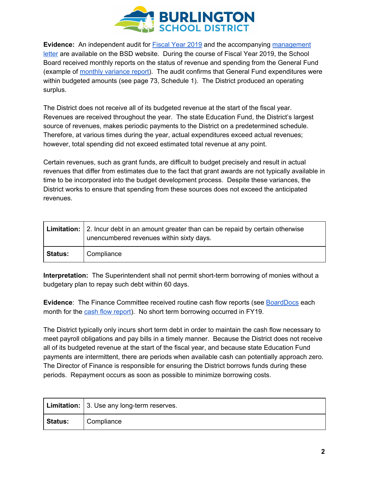

**Evidence:** An independent audit for [Fiscal](https://www.bsdvt.org/wp-content/uploads/2020/01/Burlington-SD-FY19-Audit.pdf) Year 2019 and the accompanying [management](https://www.bsdvt.org/wp-content/uploads/2020/01/Burlington-SD-FY19-Management-Letter.pdf) [letter](https://www.bsdvt.org/wp-content/uploads/2020/01/Burlington-SD-FY19-Management-Letter.pdf) are available on the BSD website. During the course of Fiscal Year 2019, the School Board received monthly reports on the status of revenue and spending from the General Fund (example of monthly [variance](https://go.boarddocs.com/vt/bsdvt/Board.nsf/files/B96HWP48E818/$file/January%202019%20Variance%20Report.pdf) report). The audit confirms that General Fund expenditures were within budgeted amounts (see page 73, Schedule 1). The District produced an operating surplus.

The District does not receive all of its budgeted revenue at the start of the fiscal year. Revenues are received throughout the year. The state Education Fund, the District's largest source of revenues, makes periodic payments to the District on a predetermined schedule. Therefore, at various times during the year, actual expenditures exceed actual revenues; however, total spending did not exceed estimated total revenue at any point.

Certain revenues, such as grant funds, are difficult to budget precisely and result in actual revenues that differ from estimates due to the fact that grant awards are not typically available in time to be incorporated into the budget development process. Despite these variances, the District works to ensure that spending from these sources does not exceed the anticipated revenues.

|                | <b>Limitation:</b> 2. Incur debt in an amount greater than can be repaid by certain otherwise<br>unencumbered revenues within sixty days. |
|----------------|-------------------------------------------------------------------------------------------------------------------------------------------|
| <b>Status:</b> | Compliance                                                                                                                                |

**Interpretation:** The Superintendent shall not permit short-term borrowing of monies without a budgetary plan to repay such debt within 60 days.

**Evidence**: The Finance Committee received routine cash flow reports (see [BoardDocs](http://www.boarddocs.com/vt/bsdvt/Board.nsf/Public) each month for the cash flow [report\)](https://go.boarddocs.com/vt/bsdvt/Board.nsf/files/B96HWM48E814/$file/February%20Cash%20Flow%20Update.pdf). No short term borrowing occurred in FY19.

The District typically only incurs short term debt in order to maintain the cash flow necessary to meet payroll obligations and pay bills in a timely manner. Because the District does not receive all of its budgeted revenue at the start of the fiscal year, and because state Education Fund payments are intermittent, there are periods when available cash can potentially approach zero. The Director of Finance is responsible for ensuring the District borrows funds during these periods. Repayment occurs as soon as possible to minimize borrowing costs.

|                | Limitation:   3. Use any long-term reserves. |
|----------------|----------------------------------------------|
| <b>Status:</b> | Compliance                                   |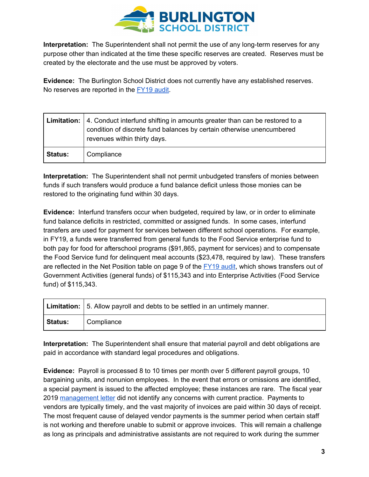

**Interpretation:** The Superintendent shall not permit the use of any long-term reserves for any purpose other than indicated at the time these specific reserves are created. Reserves must be created by the electorate and the use must be approved by voters.

**Evidence:** The Burlington School District does not currently have any established reserves. No reserves are reported in the [FY19](https://www.bsdvt.org/wp-content/uploads/2020/01/Burlington-SD-FY19-Audit.pdf) audit.

|                | <b>Limitation:</b> $\vert$ 4. Conduct interfund shifting in amounts greater than can be restored to a<br>condition of discrete fund balances by certain otherwise unencumbered<br>revenues within thirty days. |
|----------------|----------------------------------------------------------------------------------------------------------------------------------------------------------------------------------------------------------------|
| <b>Status:</b> | Compliance                                                                                                                                                                                                     |

**Interpretation:** The Superintendent shall not permit unbudgeted transfers of monies between funds if such transfers would produce a fund balance deficit unless those monies can be restored to the originating fund within 30 days.

**Evidence:** Interfund transfers occur when budgeted, required by law, or in order to eliminate fund balance deficits in restricted, committed or assigned funds. In some cases, interfund transfers are used for payment for services between different school operations. For example, in FY19, a funds were transferred from general funds to the Food Service enterprise fund to both pay for food for afterschool programs (\$91,865, payment for services) and to compensate the Food Service fund for delinquent meal accounts (\$23,478, required by law). These transfers are reflected in the Net Position table on page 9 of the [FY19](https://www.bsdvt.org/wp-content/uploads/2020/01/Burlington-SD-FY19-Audit.pdf) audit, which shows transfers out of Government Activities (general funds) of \$115,343 and into Enterprise Activities (Food Service fund) of \$115,343.

|         | Limitation:   5. Allow payroll and debts to be settled in an untimely manner. |
|---------|-------------------------------------------------------------------------------|
| Status: | Compliance                                                                    |

**Interpretation:** The Superintendent shall ensure that material payroll and debt obligations are paid in accordance with standard legal procedures and obligations.

**Evidence:** Payroll is processed 8 to 10 times per month over 5 different payroll groups, 10 bargaining units, and nonunion employees. In the event that errors or omissions are identified, a special payment is issued to the affected employee; these instances are rare. The fiscal year 2019 [management](https://www.bsdvt.org/wp-content/uploads/2020/01/Burlington-SD-FY19-Management-Letter.pdf) letter did not identify any concerns with current practice. Payments to vendors are typically timely, and the vast majority of invoices are paid within 30 days of receipt. The most frequent cause of delayed vendor payments is the summer period when certain staff is not working and therefore unable to submit or approve invoices. This will remain a challenge as long as principals and administrative assistants are not required to work during the summer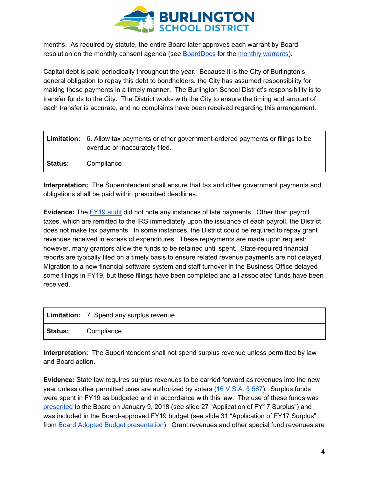

months. As required by statute, the entire Board later approves each warrant by Board resolution on the monthly consent agenda (see [BoardDocs](http://www.boarddocs.com/vt/bsdvt/Board.nsf/Public) for the monthly [warrants\)](https://go.boarddocs.com/vt/bsdvt/Board.nsf/files/B96HWR48E81C/$file/January%202019%20Warrants.pdf).

Capital debt is paid periodically throughout the year. Because it is the City of Burlington's general obligation to repay this debt to bondholders, the City has assumed responsibility for making these payments in a timely manner. The Burlington School District's responsibility is to transfer funds to the City. The District works with the City to ensure the timing and amount of each transfer is accurate, and no complaints have been received regarding this arrangement.

|                | <b>Limitation:</b> 6. Allow tax payments or other government-ordered payments or filings to be<br>overdue or inaccurately filed. |
|----------------|----------------------------------------------------------------------------------------------------------------------------------|
| <b>Status:</b> | Compliance                                                                                                                       |

**Interpretation:** The Superintendent shall ensure that tax and other government payments and obligations shall be paid within prescribed deadlines.

**Evidence:** The [FY19](https://www.bsdvt.org/wp-content/uploads/2020/01/Burlington-SD-FY19-Audit.pdf) audit did not note any instances of late payments. Other than payroll taxes, which are remitted to the IRS immediately upon the issuance of each payroll, the District does not make tax payments. In some instances, the District could be required to repay grant revenues received in excess of expenditures. These repayments are made upon request; however, many grantors allow the funds to be retained until spent. State-required financial reports are typically filed on a timely basis to ensure related revenue payments are not delayed. Migration to a new financial software system and staff turnover in the Business Office delayed some filings in FY19, but these filings have been completed and all associated funds have been received.

|         | Limitation:   7. Spend any surplus revenue |
|---------|--------------------------------------------|
| Status: | Compliance                                 |

**Interpretation:** The Superintendent shall not spend surplus revenue unless permitted by law and Board action.

**Evidence:** State law requires surplus revenues to be carried forward as revenues into the new year unless other permitted uses are authorized by voters (16 [V.S.A.](http://legislature.vermont.gov/statutes/section/16/009/00567) § 567). Surplus funds were spent in FY19 as budgeted and in accordance with this law. The use of these funds was [presented](https://go.boarddocs.com/vt/bsdvt/Board.nsf/files/AUVMNJ59ED8C/$file/20180109%20Budget%20Process%20Update.pdf) to the Board on January 9, 2018 (see slide 27 "Application of FY17 Surplus") and was included in the Board-approved FY19 budget (see slide 31 "Application of FY17 Surplus" from Board Adopted Budget [presentation\)](https://go.boarddocs.com/vt/bsdvt/Board.nsf/files/AVGKD450CF05/$file/20180124%20Board%20Approved%20Budget%20Presentation.pdf). Grant revenues and other special fund revenues are